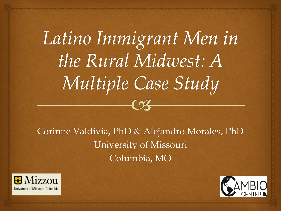#### Latino Immigrant Men in the Rural Midwest: A Multiple Case Study  $\curvearrowright$

Corinne Valdivia, PhD & Alejandro Morales, PhD University of Missouri Columbia, MO



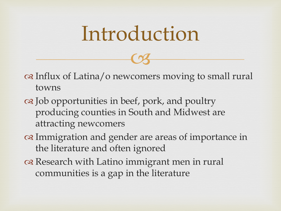## Introduction

 $C<sub>3</sub>$ 

 Influx of Latina/o newcomers moving to small rural towns

- Job opportunities in beef, pork, and poultry producing counties in South and Midwest are attracting newcomers
- Immigration and gender are areas of importance in the literature and often ignored
- or Research with Latino immigrant men in rural communities is a gap in the literature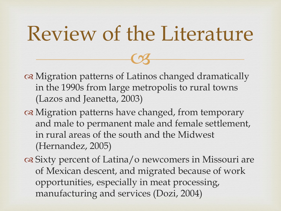## Review of the Literature

 $C<sub>3</sub>$ 

- Migration patterns of Latinos changed dramatically in the 1990s from large metropolis to rural towns (Lazos and Jeanetta, 2003)
- or Migration patterns have changed, from temporary and male to permanent male and female settlement, in rural areas of the south and the Midwest (Hernandez, 2005)
- Sixty percent of Latina/o newcomers in Missouri are of Mexican descent, and migrated because of work opportunities, especially in meat processing, manufacturing and services (Dozi, 2004)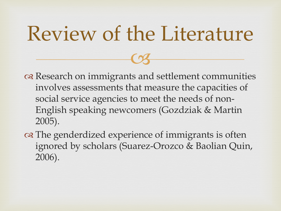## Review of the Literature

 $C<sub>3</sub>$ 

or Research on immigrants and settlement communities involves assessments that measure the capacities of social service agencies to meet the needs of non-English speaking newcomers (Gozdziak & Martin 2005).

on The genderdized experience of immigrants is often ignored by scholars (Suarez-Orozco & Baolian Quin, 2006).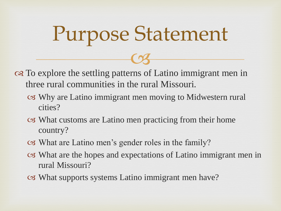# Purpose Statement

 $C<sub>3</sub>$ 

 To explore the settling patterns of Latino immigrant men in three rural communities in the rural Missouri.

- Why are Latino immigrant men moving to Midwestern rural cities?
- What customs are Latino men practicing from their home country?
- What are Latino men's gender roles in the family?
- What are the hopes and expectations of Latino immigrant men in rural Missouri?
- What supports systems Latino immigrant men have?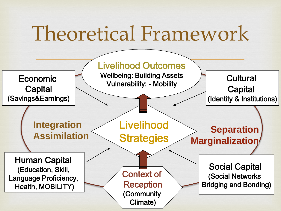## Theoretical Framework

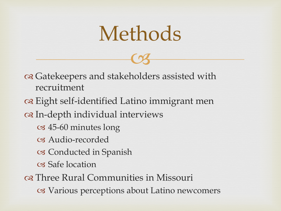## Methods

 $C<sub>3</sub>$ 

or Gatekeepers and stakeholders assisted with recruitment

of Eight self-identified Latino immigrant men

In-depth individual interviews

- 45-60 minutes long
- Audio-recorded

Conducted in Spanish

Safe location

Three Rural Communities in Missouri

Various perceptions about Latino newcomers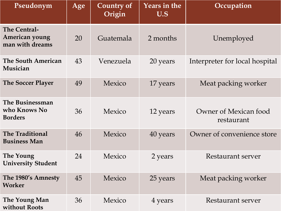| Pseudonym                                                | Age | Country of<br>Origin | <b>Years in the</b><br>U.S | Occupation                          |
|----------------------------------------------------------|-----|----------------------|----------------------------|-------------------------------------|
| <b>The Central-</b><br>American young<br>man with dreams | 20  | Guatemala            | 2 months                   | Unemployed                          |
| <b>The South American</b><br>Musician                    | 43  | Venezuela            | 20 years                   | Interpreter for local hospital      |
| <b>The Soccer Player</b>                                 | 49  | Mexico               | 17 years                   | Meat packing worker                 |
| The Businessman<br>who Knows No<br><b>Borders</b>        | 36  | Mexico               | 12 years                   | Owner of Mexican food<br>restaurant |
| <b>The Traditional</b><br><b>Business Man</b>            | 46  | Mexico               | 40 years                   | Owner of convenience store          |
| The Young<br><b>University Student</b>                   | 24  | Mexico               | 2 years                    | Restaurant server                   |
| The 1980's Amnesty<br>Worker                             | 45  | Mexico               | 25 years                   | Meat packing worker                 |
| The Young Man<br>without Roots                           | 36  | Mexico               | 4 years                    | Restaurant server                   |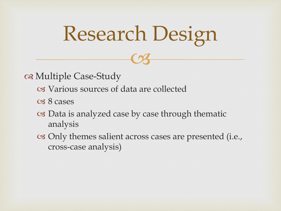# Research Design

 $C<sub>3</sub>$ 

Multiple Case-Study

- Various sources of data are collected
- 8 cases
- Data is analyzed case by case through thematic analysis
- Only themes salient across cases are presented (i.e., cross-case analysis)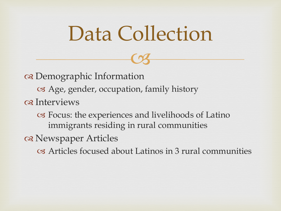## Data Collection

 $C<sub>3</sub>$ 

 Demographic Information Age, gender, occupation, family history os Interviews Focus: the experiences and livelihoods of Latino immigrants residing in rural communities

os Newspaper Articles

Articles focused about Latinos in 3 rural communities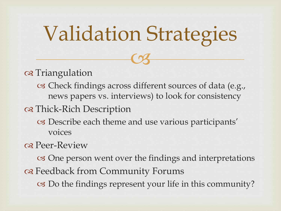## Validation Strategies

 $C<sub>3</sub>$ 

o Triangulation

 Check findings across different sources of data (e.g., news papers vs. interviews) to look for consistency

Thick-Rich Description

 Describe each theme and use various participants' voices

**⊗** Peer-Review

 One person went over the findings and interpretations Feedback from Community Forums

Do the findings represent your life in this community?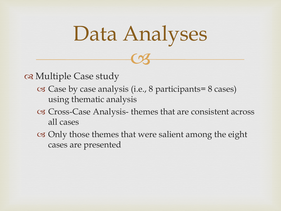## Data Analyses

 $C<sub>3</sub>$ 

osa Multiple Case study

- Case by case analysis (i.e., 8 participants= 8 cases) using thematic analysis
- Cross-Case Analysis- themes that are consistent across all cases
- Only those themes that were salient among the eight cases are presented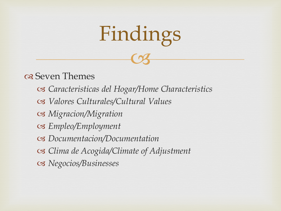# $C<sub>3</sub>$ Findings

#### of Seven Themes

 *Caracteristicas del Hogar/Home Characteristics Valores Culturales/Cultural Values Migracion/Migration Empleo/Employment Documentacion/Documentation Clima de Acogida/Climate of Adjustment Negocios/Businesses*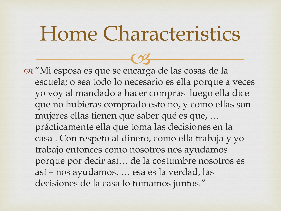#### Home Characteristics

 "Mi esposa es que se encarga de las cosas de la  $C<sub>3</sub>$ escuela; o sea todo lo necesario es ella porque a veces yo voy al mandado a hacer compras luego ella dice que no hubieras comprado esto no, y como ellas son mujeres ellas tienen que saber qué es que, … prácticamente ella que toma las decisiones en la casa . Con respeto al dinero, como ella trabaja y yo trabajo entonces como nosotros nos ayudamos porque por decir así… de la costumbre nosotros es así – nos ayudamos. … esa es la verdad, las decisiones de la casa lo tomamos juntos."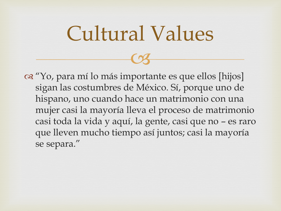## Cultural Values

 $C<sub>3</sub>$ 

 "Yo, para mí lo más importante es que ellos [hijos] sigan las costumbres de México. Sí, porque uno de hispano, uno cuando hace un matrimonio con una mujer casi la mayoría lleva el proceso de matrimonio casi toda la vida y aquí, la gente, casi que no – es raro que lleven mucho tiempo así juntos; casi la mayoría se separa."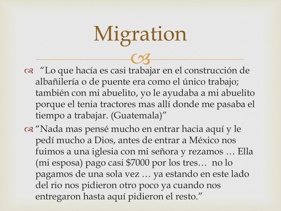# Migration

- "Lo que hacía es casi trabajar en el construcción de  $C<sub>3</sub>$ albañilería o de puente era como el único trabajo; también con mi abuelito, yo le ayudaba a mi abuelito porque el tenia tractores mas allí donde me pasaba el tiempo a trabajar. (Guatemala)"
- "Nada mas pensé mucho en entrar hacia aquí y le pedí mucho a Dios, antes de entrar a México nos fuimos a una iglesia con mi señora y rezamos … Ella (mi esposa) pago casi \$7000 por los tres… no lo pagamos de una sola vez … ya estando en este lado del rio nos pidieron otro poco ya cuando nos entregaron hasta aquí pidieron el resto."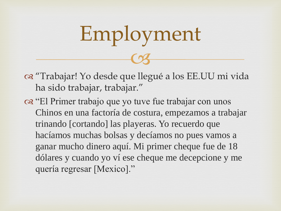# $C<sub>3</sub>$ Employment

- "Trabajar! Yo desde que llegué a los EE.UU mi vida ha sido trabajar, trabajar."
- "El Primer trabajo que yo tuve fue trabajar con unos Chinos en una factoría de costura, empezamos a trabajar trinando [cortando] las playeras. Yo recuerdo que hacíamos muchas bolsas y decíamos no pues vamos a ganar mucho dinero aquí. Mi primer cheque fue de 18 dólares y cuando yo ví ese cheque me decepcione y me quería regresar [Mexico]."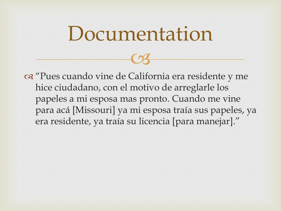#### Documentation

 $C<sub>3</sub>$ 

 "Pues cuando vine de California era residente y me hice ciudadano, con el motivo de arreglarle los papeles a mi esposa mas pronto. Cuando me vine para acá [Missouri] ya mi esposa traía sus papeles, ya era residente, ya traía su licencia [para manejar]."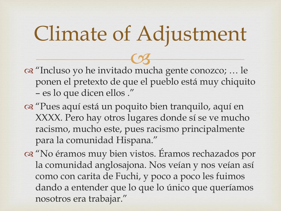# Climate of Adjustment

 "Incluso yo he invitado mucha gente conozco; … le  $C<sub>3</sub>$ ponen el pretexto de que el pueblo está muy chiquito – es lo que dicen ellos ."

- "Pues aquí está un poquito bien tranquilo, aquí en XXXX. Pero hay otros lugares donde sí se ve mucho racismo, mucho este, pues racismo principalmente para la comunidad Hispana."
- "No éramos muy bien vistos. Éramos rechazados por la comunidad anglosajona. Nos veían y nos veían así como con carita de Fuchi, y poco a poco les fuimos dando a entender que lo que lo único que queríamos nosotros era trabajar."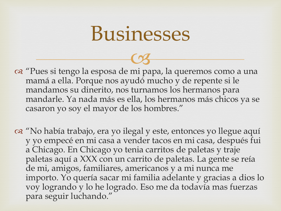#### Businesses

- "Pues si tengo la esposa de mi papa, la queremos como a una  $C<sub>3</sub>$ mamá a ella. Porque nos ayudó mucho y de repente si le mandamos su dinerito, nos turnamos los hermanos para mandarle. Ya nada más es ella, los hermanos más chicos ya se casaron yo soy el mayor de los hombres."
- "No había trabajo, era yo ilegal y este, entonces yo llegue aquí y yo empecé en mi casa a vender tacos en mi casa, después fui a Chicago. En Chicago yo tenia carritos de paletas y traje paletas aquí a XXX con un carrito de paletas. La gente se reía de mi, amigos, familiares, americanos y a mi nunca me importo. Yo quería sacar mi familia adelante y gracias a dios lo voy logrando y lo he logrado. Eso me da todavía mas fuerzas para seguir luchando."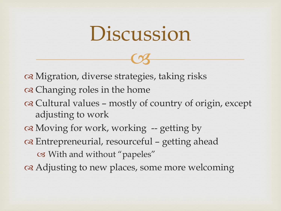#### Discussion

 $C<sub>3</sub>$ 

 Migration, diverse strategies, taking risks of Changing roles in the home Cultural values – mostly of country of origin, except adjusting to work Moving for work, working -- getting by Entrepreneurial, resourceful – getting ahead With and without "papeles" Adjusting to new places, some more welcoming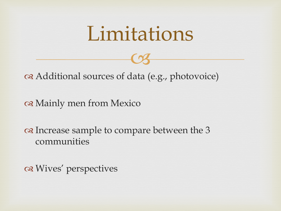#### Limitations

 $C<sub>3</sub>$ 

Additional sources of data (e.g., photovoice)

Mainly men from Mexico

of Increase sample to compare between the 3 communities

os Wives' perspectives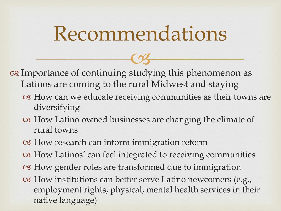#### Recommendations

 $C<sub>3</sub>$  Importance of continuing studying this phenomenon as Latinos are coming to the rural Midwest and staying

- How can we educate receiving communities as their towns are diversifying
- How Latino owned businesses are changing the climate of rural towns
- How research can inform immigration reform
- How Latinos' can feel integrated to receiving communities
- How gender roles are transformed due to immigration
- How institutions can better serve Latino newcomers (e.g., employment rights, physical, mental health services in their native language)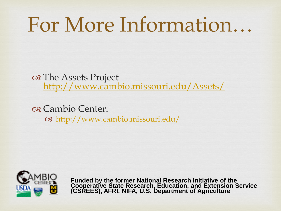## For More Information…

on The Assets Project <http://www.cambio.missouri.edu/Assets/>

 Cambio Center: <http://www.cambio.missouri.edu/>



**Funded by the former National Research Initiative of the Cooperative State Research, Education, and Extension Service (CSREES), AFRI, NIFA, U.S. Department of Agriculture**